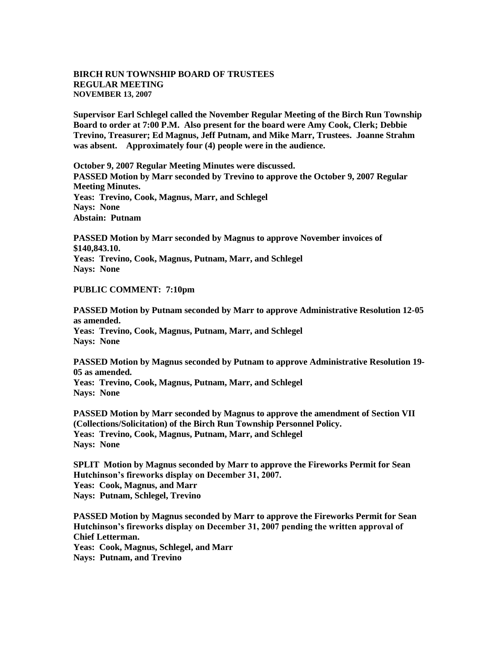## **BIRCH RUN TOWNSHIP BOARD OF TRUSTEES REGULAR MEETING NOVEMBER 13, 2007**

**Supervisor Earl Schlegel called the November Regular Meeting of the Birch Run Township Board to order at 7:00 P.M. Also present for the board were Amy Cook, Clerk; Debbie Trevino, Treasurer; Ed Magnus, Jeff Putnam, and Mike Marr, Trustees. Joanne Strahm was absent. Approximately four (4) people were in the audience.** 

**October 9, 2007 Regular Meeting Minutes were discussed. PASSED Motion by Marr seconded by Trevino to approve the October 9, 2007 Regular Meeting Minutes. Yeas: Trevino, Cook, Magnus, Marr, and Schlegel Nays: None Abstain: Putnam**

**PASSED Motion by Marr seconded by Magnus to approve November invoices of \$140,843.10. Yeas: Trevino, Cook, Magnus, Putnam, Marr, and Schlegel Nays: None**

## **PUBLIC COMMENT: 7:10pm**

**PASSED Motion by Putnam seconded by Marr to approve Administrative Resolution 12-05 as amended. Yeas: Trevino, Cook, Magnus, Putnam, Marr, and Schlegel Nays: None**

**PASSED Motion by Magnus seconded by Putnam to approve Administrative Resolution 19- 05 as amended. Yeas: Trevino, Cook, Magnus, Putnam, Marr, and Schlegel Nays: None**

**PASSED Motion by Marr seconded by Magnus to approve the amendment of Section VII (Collections/Solicitation) of the Birch Run Township Personnel Policy. Yeas: Trevino, Cook, Magnus, Putnam, Marr, and Schlegel Nays: None**

**SPLIT Motion by Magnus seconded by Marr to approve the Fireworks Permit for Sean Hutchinson's fireworks display on December 31, 2007. Yeas: Cook, Magnus, and Marr Nays: Putnam, Schlegel, Trevino**

**PASSED Motion by Magnus seconded by Marr to approve the Fireworks Permit for Sean Hutchinson's fireworks display on December 31, 2007 pending the written approval of Chief Letterman. Yeas: Cook, Magnus, Schlegel, and Marr Nays: Putnam, and Trevino**